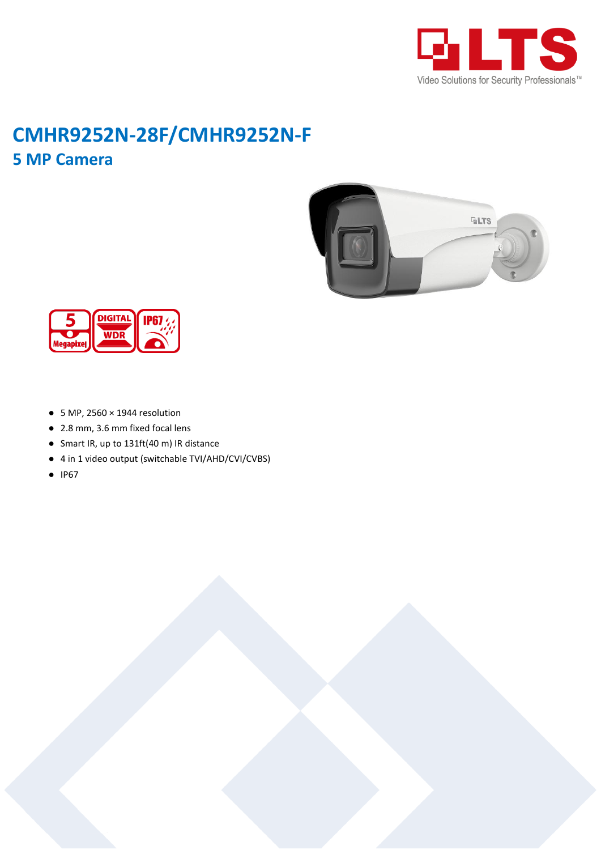

## **CMHR9252N-28F/CMHR9252N-F 5 MP Camera**





- $\bullet$  5 MP, 2560  $\times$  1944 resolution
- 2.8 mm, 3.6 mm fixed focal lens
- Smart IR, up to 131ft(40 m) IR distance
- 4 in 1 video output (switchable TVI/AHD/CVI/CVBS)
- IP67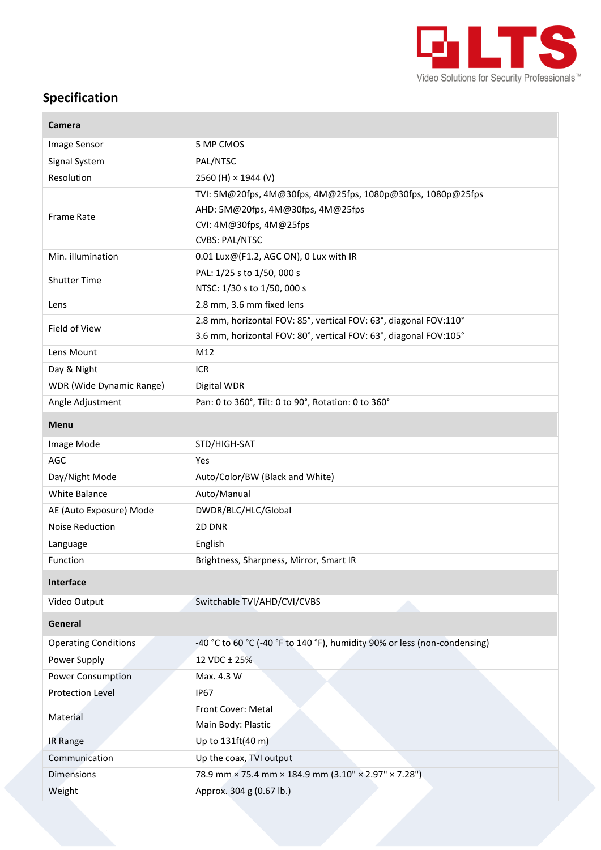

## **Specification**

| Camera                      |                                                                                                                                                      |
|-----------------------------|------------------------------------------------------------------------------------------------------------------------------------------------------|
| Image Sensor                | 5 MP CMOS                                                                                                                                            |
| Signal System               | PAL/NTSC                                                                                                                                             |
| Resolution                  | 2560 (H) × 1944 (V)                                                                                                                                  |
| <b>Frame Rate</b>           | TVI: 5M@20fps, 4M@30fps, 4M@25fps, 1080p@30fps, 1080p@25fps<br>AHD: 5M@20fps, 4M@30fps, 4M@25fps<br>CVI: 4M@30fps, 4M@25fps<br><b>CVBS: PAL/NTSC</b> |
| Min. illumination           | 0.01 Lux@(F1.2, AGC ON), 0 Lux with IR                                                                                                               |
| <b>Shutter Time</b>         | PAL: 1/25 s to 1/50, 000 s<br>NTSC: 1/30 s to 1/50, 000 s                                                                                            |
| Lens                        | 2.8 mm, 3.6 mm fixed lens                                                                                                                            |
| Field of View               | 2.8 mm, horizontal FOV: 85°, vertical FOV: 63°, diagonal FOV:110°<br>3.6 mm, horizontal FOV: 80°, vertical FOV: 63°, diagonal FOV:105°               |
| Lens Mount                  | M12                                                                                                                                                  |
| Day & Night                 | <b>ICR</b>                                                                                                                                           |
| WDR (Wide Dynamic Range)    | Digital WDR                                                                                                                                          |
| Angle Adjustment            | Pan: 0 to 360°, Tilt: 0 to 90°, Rotation: 0 to 360°                                                                                                  |
| <b>Menu</b>                 |                                                                                                                                                      |
| Image Mode                  | STD/HIGH-SAT                                                                                                                                         |
| AGC                         | Yes                                                                                                                                                  |
| Day/Night Mode              | Auto/Color/BW (Black and White)                                                                                                                      |
| White Balance               | Auto/Manual                                                                                                                                          |
| AE (Auto Exposure) Mode     | DWDR/BLC/HLC/Global                                                                                                                                  |
| <b>Noise Reduction</b>      | 2D DNR                                                                                                                                               |
| Language                    | English                                                                                                                                              |
| Function                    | Brightness, Sharpness, Mirror, Smart IR                                                                                                              |
| Interface                   |                                                                                                                                                      |
| Video Output                | Switchable TVI/AHD/CVI/CVBS                                                                                                                          |
| General                     |                                                                                                                                                      |
| <b>Operating Conditions</b> | -40 °C to 60 °C (-40 °F to 140 °F), humidity 90% or less (non-condensing)                                                                            |
| Power Supply                | 12 VDC ± 25%                                                                                                                                         |
| Power Consumption           | Max. 4.3 W                                                                                                                                           |
| Protection Level            | <b>IP67</b>                                                                                                                                          |
| Material                    | Front Cover: Metal<br>Main Body: Plastic                                                                                                             |
| <b>IR Range</b>             | Up to 131ft(40 m)                                                                                                                                    |
| Communication               | Up the coax, TVI output                                                                                                                              |
| <b>Dimensions</b>           | 78.9 mm × 75.4 mm × 184.9 mm (3.10" × 2.97" × 7.28")                                                                                                 |
| Weight                      | Approx. 304 g (0.67 lb.)                                                                                                                             |